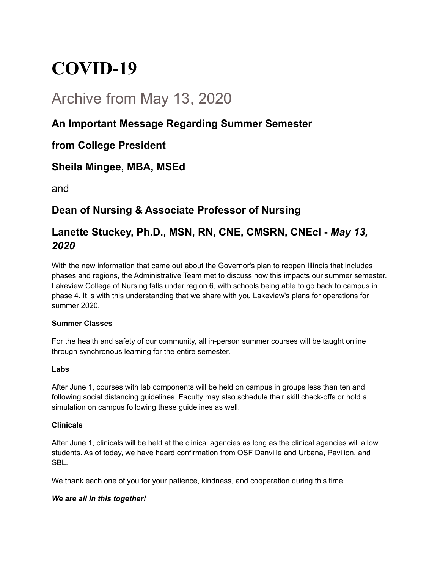# **COVID-19**

## Archive from May 13, 2020

## **An Important Message Regarding Summer Semester**

### **from College President**

### **Sheila Mingee, MBA, MSEd**

and

## **Dean of Nursing & Associate Professor of Nursing**

## **Lanette Stuckey, Ph.D., MSN, RN, CNE, CMSRN, CNEcl -** *May 13, 2020*

With the new information that came out about the Governor's plan to reopen Illinois that includes phases and regions, the Administrative Team met to discuss how this impacts our summer semester. Lakeview College of Nursing falls under region 6, with schools being able to go back to campus in phase 4. It is with this understanding that we share with you Lakeview's plans for operations for summer 2020.

#### **Summer Classes**

For the health and safety of our community, all in-person summer courses will be taught online through synchronous learning for the entire semester.

#### **Labs**

After June 1, courses with lab components will be held on campus in groups less than ten and following social distancing guidelines. Faculty may also schedule their skill check-offs or hold a simulation on campus following these guidelines as well.

#### **Clinicals**

After June 1, clinicals will be held at the clinical agencies as long as the clinical agencies will allow students. As of today, we have heard confirmation from OSF Danville and Urbana, Pavilion, and SBL.

We thank each one of you for your patience, kindness, and cooperation during this time.

#### *We are all in this together!*